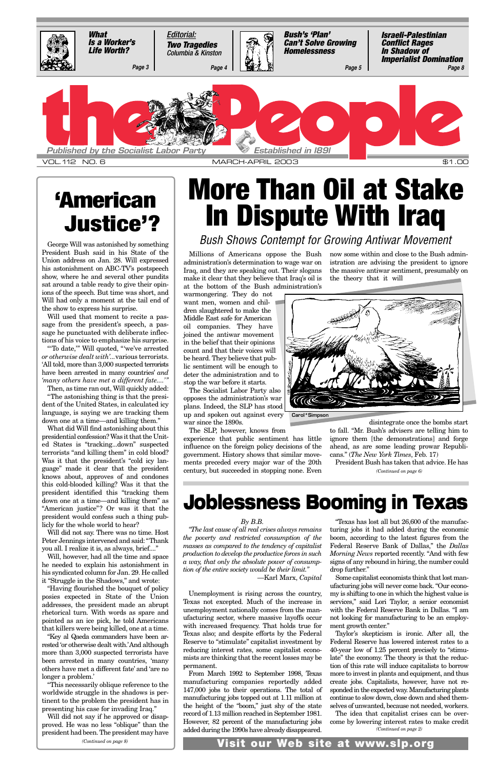Millions of Americans oppose the Bush administration's determination to wage war on Iraq, and they are speaking out. Their slogans make it clear that they believe that Iraq's oil is at the bottom of the Bush administration's

warmongering. They do not want men, women and children slaughtered to make the Middle East safe for American oil companies. They have joined the antiwar movement in the belief that their opinions count and that their voices will be heard. They believe that public sentiment will be enough to deter the administration and to stop the war before it starts.

The Socialist Labor Party also opposes the administration's war plans. Indeed, the SLP has stood up and spoken out against every war since the 1890s.

The SLP, however, knows from

experience that public sentiment has little influence on the foreign policy decisions of the government. History shows that similar movements preceded every major war of the 20th century, but succeeded in stopping none. Even

now some within and close to the Bush administration are advising the president to ignore the massive antiwar sentiment, presumably on the theory that it will

disintegrate once the bombs start to fall. "Mr. Bush's advisers are telling him to ignore them [the demonstrations] and forge ahead, as are some leading prowar Republicans." (*The New York Times*, Feb. 17)

## **More Than Oil at Stake In Dispute With Iraq**

### George Will was astonished by something *Bush Shows Contempt for Growing Antiwar Movement*

President Bush said in his State of the Union address on Jan. 28. Will expressed his astonishment on ABC-TV's postspeech show, where he and several other pundits sat around a table ready to give their opinions of the speech. But time was short, and Will had only a moment at the tail end of the show to express his surprise.

Will used that moment to recite a passage from the president's speech, a passage he punctuated with deliberate inflections of his voice to emphasize his surprise.

"'To date,'" Will quoted, "'we've arrested *or otherwise dealt with'...*various terrorists. 'All told, more than 3,000 suspected terrorists have been arrested in many countries' *and 'many others have met a different fate....'"*

Then, as time ran out, Will quickly added: "The astonishing thing is that the president of the United States, in calculated icy language, is saying we are tracking them down one at a time—and killing them."

What did Will find astonishing about this presidential confession? Was it that the United States is "tracking...down" suspected terrorists "and killing them" in cold blood? Was it that the president's "cold icy language" made it clear that the president knows about, approves of and condones this cold-blooded killing? Was it that the president identified this "tracking them down one at a time—and killing them" as "American justice"? Or was it that the president would confess such a thing publicly for the whole world to hear?

Will did not say. There was no time. Host Peter Jennings intervened and said: "Thank you all. I realize it is, as always, brief...."

Will, however, had all the time and space he needed to explain his astonishment in his syndicated column for Jan. 29. He called it "Struggle in the Shadows," and wrote: "Having flourished the bouquet of policy posies expected in State of the Union addresses, the president made an abrupt rhetorical turn. With words as spare and pointed as an ice pick, he told Americans that killers were being killed, one at a time. "Key al Qaeda commanders have been arrested 'or otherwise dealt with.'And although more than 3,000 suspected terrorists have been arrested in many countries, 'many others have met a different fate' and 'are no longer a problem.' "This necessarily oblique reference to the worldwide struggle in the shadows is pertinent to the problem the president has in presenting his case for invading Iraq." Will did not say if he approved or disapproved. He was no less "oblique" than the president had been. The president may have President Bush has taken that advice. He has *(Continued on page 6)*



## **'American Justice'?**

### **Joblessness Booming in Texas**

#### *By B.B.*

*"The last cause of all real crises always remains the poverty and restricted consumption of the masses as compared to the tendency of capitalist production to develop the productive forces in such a way, that only the absolute power of consump-*

*tion of the entire society would be their limit."* —Karl Marx, *Capital*

Unemployment is rising across the country, Texas not excepted. Much of the increase in unemployment nationally comes from the manufacturing sector, where massive layoffs occur with increased frequency. That holds true for Texas also; and despite efforts by the Federal Reserve to "stimulate" capitalist investment by reducing interest rates, some capitalist economists are thinking that the recent losses may be permanent.

From March 1992 to September 1998, Texas manufacturing companies reportedly added 147,000 jobs to their operations. The total of manufacturing jobs topped out at 1.11 million at the height of the "boom," just shy of the state record of 1.13 million reached in September 1981. However, 82 percent of the manufacturing jobs added during the 1990s have already disappeared.

"Texas has lost all but 26,600 of the manufacturing jobs it had added during the economic boom, according to the latest figures from the Federal Reserve Bank of Dallas," the *Dallas Morning News* reported recently. "And with few signs of any rebound in hiring, the number could

drop further."

Some capitalist economists think that lost manufacturing jobs will never come back. "Our economy is shifting to one in which the highest value is services," said Lori Taylor, a senior economist with the Federal Reserve Bank in Dallas. "I am not looking for manufacturing to be an employment growth center."

Taylor's skepticism is ironic. After all, the Federal Reserve has lowered interest rates to a 40-year low of 1.25 percent precisely to "stimulate" the economy. The theory is that the reduction of this rate will induce capitalists to borrow more to invest in plants and equipment, and thus create jobs. Capitalists, however, have not responded in the expected way. Manufacturing plants continue to slow down, close down and shed themselves of unwanted, because not needed, workers. The idea that capitalist crises can be overcome by lowering interest rates to make credit

*(Continued on page 2)*

*(Continued on page 8)* **Visit our Web site at www.slp.org**

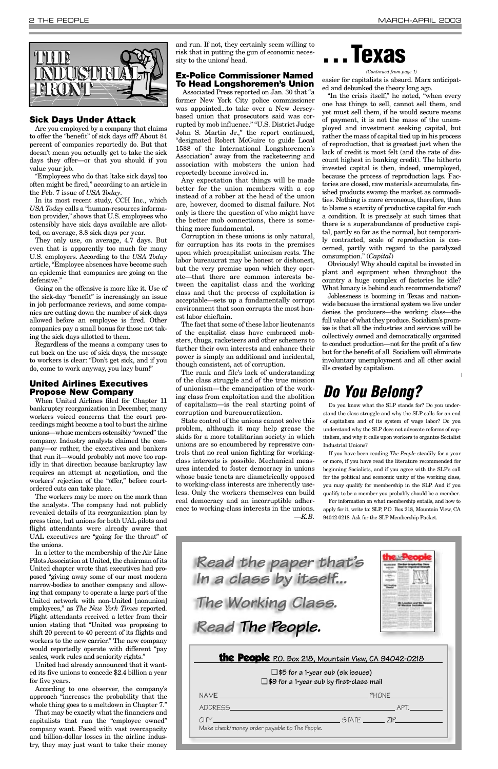and run. If not, they certainly seem willing to risk that in putting the gun of economic necessity to the unions' head.

#### **Ex-Police Commissioner Named To Head Longshoremen's Union**

Associated Press reported on Jan. 30 that "a former New York City police commissioner was appointed...to take over a New Jerseybased union that prosecutors said was corrupted by mob influence." "U.S. District Judge John S. Martin Jr.," the report continued, "designated Robert McGuire to guide Local 1588 of the International Longshoremen's Association" away from the racketeering and association with mobsters the union had reportedly become involved in.

Any expectation that things will be made better for the union members with a cop instead of a robber at the head of the union are, however, doomed to dismal failure. Not only is there the question of who might have the better mob connections, there is something more fundamental.

Corruption in these unions is only natural, for corruption has its roots in the premises upon which procapitalist unionism rests. The labor bureaucrat may be honest or dishonest, but the very premise upon which they operate—that there are common interests between the capitalist class and the working class and that the process of exploitation is acceptable—sets up a fundamentally corrupt environment that soon corrupts the most honest labor chieftain.

The fact that some of these labor lieutenants of the capitalist class have embraced mobsters, thugs, racketeers and other schemers to further their own interests and enhance their power is simply an additional and incidental, though consistent, act of corruption.

The rank and file's lack of understanding of the class struggle and of the true mission of unionism—the emancipation of the working class from exploitation and the abolition of capitalism—is the real starting point of corruption and bureaucratization.

State control of the unions cannot solve this problem, although it may help grease the skids for a more totalitarian society in which unions are so encumbered by repressive controls that no real union fighting for workingclass interests is possible. Mechanical measures intended to foster democracy in unions whose basic tenets are diametrically opposed to working-class interests are inherently useless. Only the workers themselves can build real democracy and an incorruptible adherence to working-class interests in the unions. *—K.B.*



#### **Sick Days Under Attack**

Are you employed by a company that claims to offer the "benefit" of sick days off? About 84 percent of companies reportedly do. But that doesn't mean you actually get to take the sick days they offer—or that you should if you value your job.

"Employees who do that [take sick days] too often might be fired," according to an article in the Feb. 7 issue of *USA Today*.

In its most recent study, CCH Inc., which *USA Today* calls a "human-resources information provider," shows that U.S. employees who ostensibly have sick days available are allotted, on average, 8.8 sick days per year.

They only use, on average, 4.7 days. But even that is apparently too much for many U.S. employers. According to the *USA Today* article, "Employee absences have become such an epidemic that companies are going on the defensive."

Going on the offensive is more like it. Use of the sick-day "benefit" is increasingly an issue in job performance reviews, and some companies are cutting down the number of sick days allowed before an employee is fired. Other companies pay a small bonus for those not taking the sick days allotted to them.

Regardless of the means a company uses to cut back on the use of sick days, the message to workers is clear: "Don't get sick, and if you do, come to work anyway, you lazy bum!"

#### **United Airlines Executives Propose New Company**

When United Airlines filed for Chapter 11 bankruptcy reorganization in December, many workers voiced concerns that the court proceedings might become a tool to bust the airline unions—whose members ostensibly "owned" the company. Industry analysts claimed the company—or rather, the executives and bankers that run it—would probably not move too rapidly in that direction because bankruptcy law requires an attempt at negotiation, and the workers' rejection of the "offer," before courtordered cuts can take place.

The workers may be more on the mark than the analysts. The company had not publicly revealed details of its reorganization plan by press time, but unions for both UAL pilots and flight attendants were already aware that UAL executives are "going for the throat" of the unions.

In a letter to the membership of the Air Line Pilots Association at United, the chairman of its United chapter wrote that executives had proposed "giving away some of our most modern narrow-bodies to another company and allowing that company to operate a large part of the United network with non-United [nonunion] employees," as *The New York Times* reported. Flight attendants received a letter from their union stating that "United was proposing to shift 20 percent to 40 percent of its flights and workers to the new carrier." The new company would reportedly operate with different "pay scales, work rules and seniority rights." United had already announced that it wanted its five unions to concede \$2.4 billion a year for five years.

According to one observer, the company's approach "increases the probability that the whole thing goes to a meltdown in Chapter 7."

That may be exactly what the financiers and capitalists that run the "employee owned" company want. Faced with vast overcapacity and billion-dollar losses in the airline industry, they may just want to take their money the People **P.O. Box 218, Mountain View, CA 94042-0218**

❑ **\$5 for a 1-year sub (six issues)** ❑ **\$9 for a 1-year sub by first-class mail**

| $NAME$ and $M$                                                                                                      | PHONE______________              |
|---------------------------------------------------------------------------------------------------------------------|----------------------------------|
| ADDRESS ADDRESS                                                                                                     |                                  |
| $C\text{I}Y$ , we are also assumed to the contract of $C\text{I}Y$<br>Make check/money order payable to The People. | _ STATE _______ ZIP_____________ |
|                                                                                                                     |                                  |

*Read the paper that's In a class by itself...*

*The Working Class.*

*Read The People.*



### *Do You Belong?*

Do you know what the SLP stands for? Do you understand the class struggle and why the SLP calls for an end of capitalism and of its system of wage labor? Do you understand why the SLP does not advocate reforms of capitalism, and why it calls upon workers to organize Socialist Industrial Unions?

If you have been reading *The People* steadily for a year or more, if you have read the literature recommended for beginning Socialists, and if you agree with the SLP's call for the political and economic unity of the working class, you may qualify for membership in the SLP. And if you qualify to be a member you probably should be a member.

For information on what membership entails, and how to apply for it, write to: SLP, P.O. Box 218, Mountain View, CA 94042-0218. Ask for the SLP Membership Packet.



## **. . . Texas**

easier for capitalists is absurd. Marx anticipated and debunked the theory long ago.

"In the crisis itself," he noted, "when every one has things to sell, cannot sell them, and yet must sell them, if he would secure means of payment, it is not the mass of the unemployed and investment seeking capital, but rather the mass of capital tied up in his process of reproduction, that is greatest just when the lack of credit is most felt (and the rate of discount highest in banking credit). The hitherto invested capital is then, indeed, unemployed, because the process of reproduction lags. Factories are closed, raw materials accumulate, finished products swamp the market as commodities. Nothing is more erroneous, therefore, than to blame a scarcity of productive capital for such a condition. It is precisely at such times that there is a superabundance of productive capital, partly so far as the normal, but temporarily contracted, scale of reproduction is concerned, partly with regard to the paralyzed consumption." (*Capital*)

Obviously! Why should capital be invested in plant and equipment when throughout the country a huge complex of factories lie idle? What lunacy is behind such recommendations?

Joblessness is booming in Texas and nationwide because the irrational system we live under denies the producers—the working class—the full value of what they produce. Socialism's promise is that all the industries and services will be collectively owned and democratically organized to conduct production—not for the profit of a few but for the benefit of all. Socialism will eliminate involuntary unemployment and all other social ills created by capitalism.

#### *(Continued from page 1)*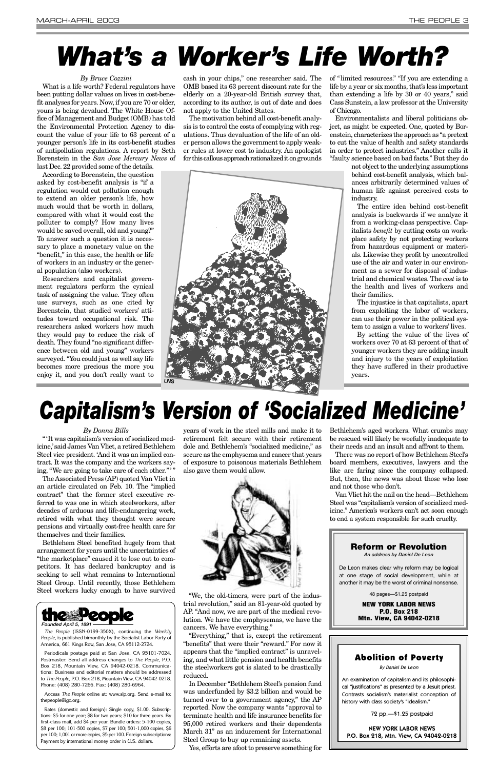#### *By Bruce Cozzini*

What is a life worth? Federal regulators have been putting dollar values on lives in cost-benefit analyses for years. Now, if you are 70 or older, yours is being devalued. The White House Office of Management and Budget (OMB) has told the Environmental Protection Agency to discount the value of your life to 63 percent of a younger person's life in its cost-benefit studies of antipollution regulations. A report by Seth Borenstein in the *San Jose Mercury News* of last Dec. 22 provided some of the details.

According to Borenstein, the question asked by cost-benefit analysis is "if a regulation would cut pollution enough to extend an older person's life, how much would that be worth in dollars, compared with what it would cost the polluter to comply? How many lives would be saved overall, old and young?" To answer such a question it is necessary to place a monetary value on the "benefit," in this case, the health or life of workers in an industry or the general population (also workers).

Researchers and capitalist government regulators perform the cynical task of assigning the value. They often use surveys, such as one cited by Borenstein, that studied workers' attitudes toward occupational risk. The researchers asked workers how much they would pay to reduce the risk of death. They found "no significant difference between old and young" workers surveyed. "You could just as well say life becomes more precious the more you enjoy it, and you don't really want to

cash in your chips," one researcher said. The OMB based its 63 percent discount rate for the elderly on a 20-year-old British survey that, according to its author, is out of date and does not apply to the United States.

" 'It was capitalism's version of socialized medicine,'said James Van Vliet, a retired Bethlehem Steel vice president. 'And it was an implied contract. It was the company and the workers saying, "We are going to take care of each other.""

The motivation behind all cost-benefit analysis is to control the costs of complying with regulations. Thus devaluation of the life of an older person allows the government to apply weaker rules at lower cost to industry. An apologist for this callous approach rationalized it on grounds

of "limited resources." "If you are extending a life by a year or six months, that's less important than extending a life by 30 or 40 years," said Cass Sunstein, a law professor at the University of Chicago.

Environmentalists and liberal politicians object, as might be expected. One, quoted by Borenstein, characterizes the approach as "a pretext to cut the value of health and safety standards in order to protect industries." Another calls it "faulty science based on bad facts." But they do

not object to the underlying assumptions behind cost-benefit analysis, which balances arbitrarily determined values of human life against perceived costs to industry.

The entire idea behind cost-benefit analysis is backwards if we analyze it from a working-class perspective. Capitalists *benefit* by cutting costs on workplace safety by not protecting workers from hazardous equipment or materials. Likewise they profit by uncontrolled use of the air and water in our environment as a sewer for disposal of industrial and chemical wastes. The *cost* is to the health and lives of workers and their families.

The injustice is that capitalists, apart from exploiting the labor of workers, can use their power in the political system to assign a value to workers' lives.

By setting the value of the lives of workers over 70 at 63 percent of that of younger workers they are adding insult and injury to the years of exploitation they have suffered in their productive years.

# *What's a Worker's Life Worth?*

#### *By Donna Bills*

The Associated Press (AP) quoted Van Vliet in an article circulated on Feb. 10. The "implied contract" that the former steel executive referred to was one in which steelworkers, after decades of arduous and life-endangering work, retired with what they thought were secure pensions and virtually cost-free health care for themselves and their families.

Bethlehem Steel benefited hugely from that arrangement for years until the uncertainties of "the marketplace" caused it to lose out to competitors. It has declared bankruptcy and is seeking to sell what remains to International Steel Group. Until recently, those Bethlehem Steel workers lucky enough to have survived

years of work in the steel mills and make it to retirement felt secure with their retirement dole and Bethlehem's "socialized medicine," as secure as the emphysema and cancer that years of exposure to poisonous materials Bethlehem also gave them would allow.



"We, the old-timers, were part of the industrial revolution," said an 81-year-old quoted by AP. "And now, we are part of the medical revolution. We have the emphysemas, we have the cancers. We have everything."

"Everything," that is, except the retirement "benefits" that were their "reward." For now it appears that the "implied contract" is unraveling, and what little pension and health benefits the steelworkers got is slated to be drastically reduced.

In December "Bethlehem Steel's pension fund was underfunded by \$3.2 billion and would be turned over to a government agency," the AP reported. Now the company wants "approval to terminate health and life insurance benefits for 95,000 retired workers and their dependents March 31" as an inducement for International Steel Group to buy up remaining assets.

Yes, efforts are afoot to preserve something for

Bethlehem's aged workers. What crumbs may be rescued will likely be woefully inadequate to their needs and an insult and affront to them.

There was no report of how Bethlehem Steel's board members, executives, lawyers and the like are faring since the company collapsed. But, then, the news was about those who lose and not those who don't.

Van Vliet hit the nail on the head—Bethlehem Steel was "capitalism's version of socialized medicine." America's workers can't act soon enough to end a system responsible for such cruelty.

## *Capitalism's Version of 'Socialized Medicine'*



*The People* (ISSN-0199-350X), continuing the *Weekly People*, is published bimonthly by the Socialist Labor Party of America, 661 Kings Row, San Jose, CA 95112-2724.

Periodicals postage paid at San Jose, CA 95101-7024. Postmaster: Send all address changes to *The People*, P.O. Box 218, Mountain View, CA 94042-0218. Communications: Business and editorial matters should be addressed to *The People*, P.O. Box 218, Mountain View, CA 94042-0218. Phone: (408) 280-7266. Fax: (408) 280-6964.

Access *The People* online at: www.slp.org. Send e-mail to: thepeople@igc.org.

Rates (domestic and foreign): Single copy, \$1.00. Subscriptions: \$5 for one year; \$8 for two years; \$10 for three years. By first-class mail, add \$4 per year. Bundle orders: 5-100 copies, \$8 per 100; 101-500 copies, \$7 per 100; 501-1,000 copies, \$6 per 100; 1,001 or more copies, \$5 per 100. Foreign subscriptions: Payment by international money order in U.S. dollars.



De Leon makes clear why reform may be logical at one stage of social development, while at another it may be the worst of criminal nonsense.

48 pages—\$1.25 postpaid

**NEW YORK LABOR NEWS P.O. Box 218 Mtn. View, CA 94042-0218**

#### Abolition of Poverty

By Daniel De Leon

An examination of capitalism and its philosophical "justifications" as presented by a Jesuit priest. Contrasts socialism's materialist conception of history with class society's "idealism."

72 pp.—\$1.25 postpaid

NEW YORK LABOR NEWS P.O. Box 218, Mtn. View, CA 94042-0218

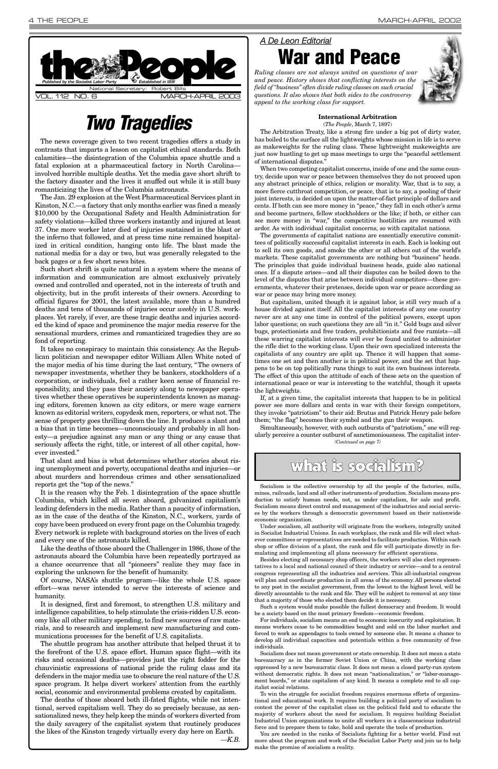The news coverage given to two recent tragedies offers a study in contrasts that imparts a lesson on capitalist ethical standards. Both calamities—the disintegration of the Columbia space shuttle and a fatal explosion at a pharmaceutical factory in North Carolina involved horrible multiple deaths. Yet the media gave short shrift to the factory disaster and the lives it snuffed out while it is still busy romanticizing the lives of the Columbia astronauts.

The Jan. 29 explosion at the West Pharmaceutical Services plant in Kinston, N.C.—a factory that only months earlier was fined a measly \$10,000 by the Occupational Safety and Health Administration for safety violations—killed three workers instantly and injured at least 37. One more worker later died of injuries sustained in the blast or the inferno that followed, and at press time nine remained hospitalized in critical condition, hanging onto life. The blast made the national media for a day or two, but was generally relegated to the back pages or a few short news bites.

Such short shrift is quite natural in a system where the means of information and communication are almost exclusively privately owned and controlled and operated, not in the interests of truth and objectivity, but in the profit interests of their owners. According to official figures for 2001, the latest available, more than a hundred deaths and tens of thousands of injuries occur *weekly* in U.S. workplaces. Yet rarely, if ever, are these tragic deaths and injuries accorded the kind of space and prominence the major media reserve for the sensational murders, crimes and romanticized tragedies they are so fond of reporting.

It takes no conspiracy to maintain this consistency. As the Republican politician and newspaper editor William Allen White noted of the major media of his time during the last century, "The owners of newspaper investments, whether they be bankers, stockholders of a corporation, or individuals, feel a rather keen sense of financial responsibility, and they pass their anxiety along to newspaper operatives whether these operatives be superintendents known as managing editors, foremen known as city editors, or mere wage earners known as editorial writers, copydesk men, reporters, or what not. The sense of property goes thrilling down the line. It produces a slant and a bias that in time becomes—unconsciously and probably in all honesty—a prejudice against any man or any thing or any cause that seriously affects the right, title, or interest of all other capital, however invested."

That slant and bias is what determines whether stories about rising unemployment and poverty, occupational deaths and injuries—or about murders and horrendous crimes and other sensationalized reports get the "top of the news."

It is the reason why the Feb. 1 disintegration of the space shuttle Columbia, which killed all seven aboard, galvanized capitalism's leading defenders in the media. Rather than a paucity of information, as in the case of the deaths of the Kinston, N.C., workers, yards of copy have been produced on every front page on the Columbia tragedy. Every network is replete with background stories on the lives of each and every one of the astronauts killed.



Like the deaths of those aboard the Challenger in 1986, those of the astronauts aboard the Columbia have been repeatedly portrayed as a chance occurrence that all "pioneers" realize they may face in exploring the unknown for the benefit of humanity. Of course, NASA's shuttle program—like the whole U.S. space effort—was never intended to serve the interests of science and humanity. It is designed, first and foremost, to strengthen U.S. military and intelligence capabilities, to help stimulate the crisis-ridden U.S. economy like all other military spending, to find new sources of raw materials, and to research and implement new manufacturing and communications processes for the benefit of U.S. capitalists. The shuttle program has another attribute that helped thrust it to the forefront of the U.S. space effort. Human space flight—with its risks and occasional deaths—provides just the right fodder for the chauvinistic expressions of national pride the ruling class and its defenders in the major media use to obscure the real nature of the U.S. space program. It helps divert workers' attention from the earthly social, economic and environmental problems created by capitalism. The deaths of those aboard both ill-fated flights, while not intentional, served capitalism well. They do so precisely because, as sensationalized news, they help keep the minds of workers diverted from the daily savagery of the capitalist system that routinely produces the likes of the Kinston tragedy virtually every day here on Earth.

*—K.B.*

#### **International Arbitration** (*The People*, March 7, 1897)

The Arbitration Treaty, like a strong fire under a big pot of dirty water, has boiled to the surface all the lightweights whose mission in life is to serve as makeweights for the ruling class. These lightweight makeweights are just now hustling to get up mass meetings to urge the "peaceful settlement of international disputes."

When two competing capitalist concerns, inside of one and the same country, decide upon war or peace between themselves they do not proceed upon any abstract principle of ethics, religion or morality. War, that is to say, a more fierce cutthroat competition, or peace, that is to say, a pooling of their joint interests, is decided on upon the matter-of-fact principle of dollars and cents. If both can see more money in "peace," they fall in each other's arms and become partners, fellow stockholders or the like; if both, or either can see more money in "war," the competitive hostilities are resumed with ardor. As with individual capitalist concerns, so with capitalist nations.

The governments of capitalist nations are essentially executive committees of politically successful capitalist interests in each. Each is looking out to sell its own goods, and smoke the other or all others out of the world's markets. These capitalist governments are nothing but "business" heads. The principles that guide individual business heads, guide also national ones. If a dispute arises—and all their disputes can be boiled down to the level of the disputes that arise between individual competitors—these governments, whatever their pretenses, decide upon war or peace according as war or peace may bring more money.

But capitalism, united though it is against labor, is still very much of a house divided against itself. All the capitalist interests of any one country never are at any one time in control of the political powers, except upon labor questions; on such questions they are all "in it." Gold bugs and silver bugs, protectionists and free traders, prohibitionists and free rumists—all these warring capitalist interests will ever be found united to administer the rifle diet to the working class. Upon their own specialized interests the capitalists of any country are split up. Thence it will happen that sometimes one set and then another is in political power, and the set that happens to be on top politically runs things to suit its own business interests. The effect of this upon the attitude of each of these sets on the question of international peace or war is interesting to the watchful, though it upsets the lightweights.

If, at a given time, the capitalist interests that happen to be in political power see more dollars and cents in war with their foreign competitors, they invoke "patriotism" to their aid: Brutus and Patrick Henry pale before them; "the flag" becomes their symbol and the gun their weapon.

### *Two Tragedies*

#### *A De Leon Editorial*

**War and Peace**



*Ruling classes are not always united on questions of war and peace. History shows that conflicting interests on the field of "business" often divide ruling classes on such crucial questions. It also shows that both sides to the controversy appeal to the working class for support.*

Socialism is the collective ownership by all the people of the factories, mills, mines, railroads, land and all other instruments of production. Socialism means production to satisfy human needs, not, as under capitalism, for sale and profit. Socialism means direct control and management of the industries and social services by the workers through a democratic government based on their nationwide economic organization.

Under socialism, all authority will originate from the workers, integrally united in Socialist Industrial Unions. In each workplace, the rank and file will elect whatever committees or representatives are needed to facilitate production. Within each shop or office division of a plant, the rank and file will participate directly in formulating and implementing all plans necessary for efficient operations.

Besides electing all necessary shop officers, the workers will also elect represen-

tatives to a local and national council of their industry or service—and to a central congress representing all the industries and services. This all-industrial congress will plan and coordinate production in all areas of the economy. All persons elected to any post in the socialist government, from the lowest to the highest level, will be directly accountable to the rank and file. They will be subject to removal at any time that a majority of those who elected them decide it is necessary.

Simultaneously, however, with such outbursts of "patriotism," one will regularly perceive a counter outburst of sanctimoniousness. The capitalist inter-*(Continued on page 7)*

## what is socialism?

Such a system would make possible the fullest democracy and freedom. It would be a society based on the most primary freedom—economic freedom.

For individuals, socialism means an end to economic insecurity and exploitation. It means workers cease to be commodities bought and sold on the labor market and forced to work as appendages to tools owned by someone else. It means a chance to develop all individual capacities and potentials within a free community of free individuals.

Socialism does not mean government or state ownership. It does not mean a state bureaucracy as in the former Soviet Union or China, with the working class oppressed by a new bureaucratic class. It does not mean a closed party-run system without democratic rights. It does not mean "nationalization," or "labor-management boards," or state capitalism of any kind. It means a complete end to all capitalist social relations.

To win the struggle for socialist freedom requires enormous efforts of organizational and educational work. It requires building a political party of socialism to contest the power of the capitalist class on the political field and to educate the majority of workers about the need for socialism. It requires building Socialist Industrial Union organizations to unite all workers in a classconscious industrial force and to prepare them to take, hold and operate the tools of production.

You are needed in the ranks of Socialists fighting for a better world. Find out more about the program and work of the Socialist Labor Party and join us to help make the promise of socialism a reality.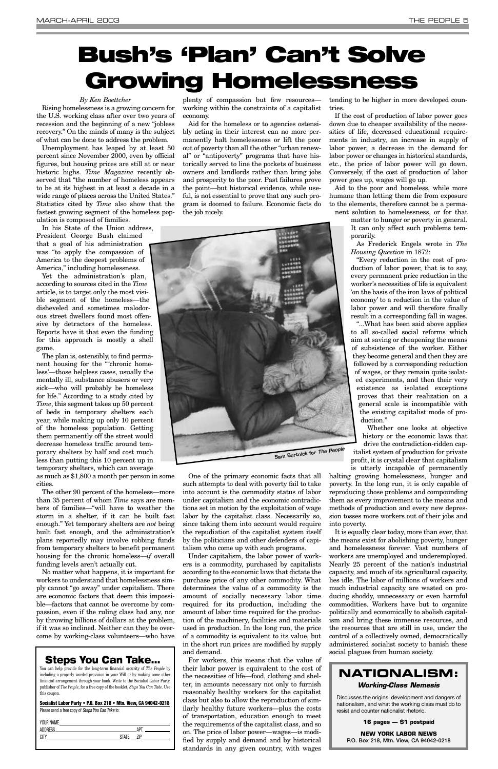#### *By Ken Boettcher*

Rising homelessness is a growing concern for the U.S. working class after over two years of recession and the beginning of a new "jobless recovery." On the minds of many is the subject of what can be done to address the problem.

Unemployment has leaped by at least 50 percent since November 2000, even by official figures, but housing prices are still at or near historic highs. *Time Magazine* recently observed that "the number of homeless appears to be at its highest in at least a decade in a wide range of places across the United States." Statistics cited by *Time* also show that the fastest growing segment of the homeless population is composed of families.

In his State of the Union address, President George Bush claimed that a goal of his administration was "to apply the compassion of America to the deepest problems of America," including homelessness.

Yet the administration's plan, according to sources cited in the *Time* article, is to target only the most visible segment of the homeless—the disheveled and sometimes malodorous street dwellers found most offensive by detractors of the homeless. Reports have it that even the funding for this approach is mostly a shell game.

The plan is, ostensibly, to find permanent housing for the "'chronic homeless'—those helpless cases, usually the mentally ill, substance abusers or very sick—who will probably be homeless for life." According to a study cited by *Time*, this segment takes up 50 percent of beds in temporary shelters each year, while making up only 10 percent of the homeless population. Getting them permanently off the street would decrease homeless traffic around temporary shelters by half and cost much less than putting this 10 percent up in temporary shelters, which can average

as much as \$1,800 a month per person in some cities.

The other 90 percent of the homeless—more than 35 percent of whom *Time* says are members of families—"will have to weather the storm in a shelter, if it can be built fast enough." Yet temporary shelters are *not* being built fast enough, and the administration's plans reportedly may involve robbing funds from temporary shelters to benefit permanent housing for the chronic homeless—*if* overall funding levels aren't actually cut.

No matter what happens, it is important for workers to understand that homelessness simply cannot "go away" under capitalism. There are economic factors that deem this impossible—factors that cannot be overcome by compassion, even if the ruling class had any, nor by throwing billions of dollars at the problem, if it was so inclined. Neither can they be overcome by working-class volunteers—who have

plenty of compassion but few resources working within the constraints of a capitalist economy.

Aid for the homeless or to agencies ostensibly acting in their interest can no more permanently halt homelessness or lift the poor out of poverty than all the other "urban renewal" or "antipoverty" programs that have historically served to line the pockets of business owners and landlords rather than bring jobs and prosperity to the poor. Past failures prove the point—but historical evidence, while useful, is not essential to prove that any such program is doomed to failure. Economic facts do the job nicely.

One of the primary economic facts that all such attempts to deal with poverty fail to take into account is the commodity status of labor under capitalism and the economic contradictions set in motion by the exploitation of wage labor by the capitalist class. Necessarily so, since taking them into account would require the repudiation of the capitalist system itself by the politicians and other defenders of capitalism who come up with such programs.

Under capitalism, the labor power of workis a commodity, purchased by capitalists according to the economic laws that dictate the purchase price of any other commodity. What determines the value of a commodity is the amount of socially necessary labor time required for its production, including the amount of labor time required for the production of the machinery, facilities and materials used in production. In the long run, the price of a commodity is equivalent to its value, but in the short run prices are modified by supply and demand. For workers, this means that the value of their labor power is equivalent to the cost of the necessities of life—food, clothing and shelter, in amounts necessary not only to furnish reasonably healthy workers for the capitalist class but also to allow the reproduction of similarly healthy future workers—plus the costs of transportation, education enough to meet the requirements of the capitalist class, and so on. The price of labor power—wages—is modified by supply and demand and by historical standards in any given country, with wages

tending to be higher in more developed countries.

If the cost of production of labor power goes down due to cheaper availability of the necessities of life, decreased educational requirements in industry, an increase in supply of labor power, a decrease in the demand for labor power or changes in historical standards, etc., the price of labor power will go down. Conversely, if the cost of production of labor power goes up, wages will go up.

Aid to the poor and homeless, while more humane than letting them die from exposure to the elements, therefore cannot be a permanent solution to homelessness, or for that

> matter to hunger or poverty in general. It can only affect such problems temporarily.

As Frederick Engels wrote in *The Housing Question* in 1872:

"Every reduction in the cost of production of labor power, that is to say, every permanent price reduction in the worker's necessities of life is equivalent 'on the basis of the iron laws of political economy' to a reduction in the value of labor power and will therefore finally result in a corresponding fall in wages.

"...What has been said above applies to all so-called social reforms which aim at saving or cheapening the means of subsistence of the worker. Either they become general and then they are followed by a corresponding reduction of wages, or they remain quite isolated experiments, and then their very existence as isolated exceptions proves that their realization on a general scale is incompatible with the existing capitalist mode of production."

Whether one looks at objective history or the economic laws that drive the contradiction-ridden capitalist system of production for private profit, it is crystal clear that capitalism is utterly incapable of permanently

halting growing homelessness, hunger and poverty. In the long run, it is only capable of reproducing those problems and compounding them as every improvement to the means and methods of production and every new depression tosses more workers out of their jobs and into poverty.

It is equally clear today, more than ever, that the means exist for abolishing poverty, hunger and homelessness forever. Vast numbers of workers are unemployed and underemployed. Nearly 25 percent of the nation's industrial capacity, and much of its agricultural capacity, lies idle. The labor of millions of workers and much industrial capacity are wasted on producing shoddy, unnecessary or even harmful commodities. Workers have but to organize politically and economically to abolish capitalism and bring these immense resources, and the resources that are still in use, under the control of a collectively owned, democratically administered socialist society to banish these social plagues from human society.

## **Bush's 'Plan' Can't Solve Growing Homelessness**

#### **Steps You Can Take...**

You can help provide for the long-term financial security of *The People* by including a properly worded provision in your Will or by making some other financial arrangement through your bank. Write to the Socialist Labor Party, publisher of *The People*, for a free copy of the booklet, *Steps You Can Take*. Use this coupon.

#### **Socialist Labor Party • P.O. Box 218 • Mtn. View, CA 94042-0218**

Please send a free copy of *Steps You Can Take* to:

| AP"<br>the control of the control of the control of the control of the control of |
|-----------------------------------------------------------------------------------|
| 7IP<br><b>STATE</b>                                                               |
|                                                                                   |
|                                                                                   |



### **NATIONALISM:**

#### *Working-Class Nemesis*

Discusses the origins, development and dangers of nationalism, and what the working class must do to resist and counter nationalist rhetoric.

#### **16 pages — \$1 postpaid**

**NEW YORK LABOR NEWS P.O. Box 218, Mtn. View, CA 94042-0218**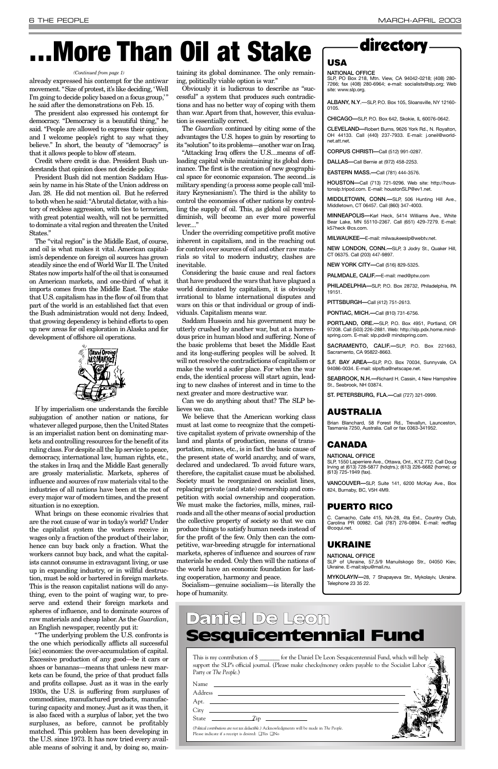already expressed his contempt for the antiwar movement. "Size of protest, it's like deciding, 'Well I'm going to decide policy based on a focus group,'" he said after the demonstrations on Feb. 15.

The president also expressed his contempt for democracy. "Democracy is a beautiful thing," he said. "People are allowed to express their opinion, and I welcome people's right to say what they believe." In short, the beauty of "democracy" is that it allows people to blow off steam.

Credit where credit is due. President Bush understands that opinion does not decide policy.

President Bush did not mention Saddam Hussein by name in his State of the Union address on Jan. 28. He did not mention oil. But he referred to both when he said: "Abrutal dictator, with a history of reckless aggression, with ties to terrorism, with great potential wealth, will not be permitted to dominate a vital region and threaten the United States."

The "vital region" is the Middle East, of course, and oil is what makes it vital. American capitalism's dependence on foreign oil sources has grown steadily since the end of World War II. The United States now imports half of the oil that is consumed on American markets, and one-third of what it imports comes from the Middle East. The stake that U.S. capitalism has in the flow of oil from that part of the world is an established fact that even the Bush administration would not deny. Indeed, that growing dependency is behind efforts to open up new areas for oil exploration in Alaska and for development of offshore oil operations.



If by imperialism one understands the forcible subjugation of another nation or nations, for whatever alleged purpose, then the United States is an imperialist nation bent on dominating markets and controlling resources for the benefit of its ruling class. For despite all the lip service to peace, democracy, international law, human rights, etc., the stakes in Iraq and the Middle East generally are grossly materialistic. Markets, spheres of influence and sources of raw materials vital to the industries of all nations have been at the root of every major war of modern times, and the present situation is no exception.

"Attacking Iraq offers the U.S....means of offloading capital while maintaining its global dominance. The first is the creation of new geographical space for economic expansion. The second...is military spending (a process some people call 'military Keynesianism'). The third is the ability to control the economies of other nations by controlling the supply of oil. This, as global oil reserves diminish, will become an ever more powerful lever...."

What brings on these economic rivalries that are the root cause of war in today's world? Under the capitalist system the workers receive in wages only a fraction of the product of their labor, hence can buy back only a fraction. What the workers cannot buy back, and what the capitalists cannot consume in extravagant living, or use up in expanding industry, or in willful destruction, must be sold or bartered in foreign markets. This is the reason capitalist nations will do anything, even to the point of waging war, to preserve and extend their foreign markets and spheres of influence, and to dominate sources of raw materials and cheap labor. As the *Guardian*, an English newspaper, recently put it: "The underlying problem the U.S. confronts is the one which periodically afflicts all successful [sic] economies: the over-accumulation of capital. Excessive production of any good—be it cars or shoes or bananas—means that unless new markets can be found, the price of that product falls and profits collapse. Just as it was in the early 1930s, the U.S. is suffering from surpluses of commodities, manufactured products, manufacturing capacity and money. Just as it was then, it is also faced with a surplus of labor, yet the two surpluses, as before, cannot be profitably matched. This problem has been developing in the U.S. since 1973. It has now tried every available means of solving it and, by doing so, main-

taining its global dominance. The only remaining, politically viable option is war."

Obviously it is ludicrous to describe as "successful" a system that produces such contradictions and has no better way of coping with them than war. Apart from that, however, this evaluation is essentially correct.

The *Guardian* continued by citing some of the advantages the U.S. hopes to gain by resorting to its "solution" to its problems—another war on Iraq.

Under the overriding competitive profit motive inherent in capitalism, and in the reaching out for control over sources of oil and other raw materials so vital to modern industry, clashes are inevitable.

Considering the basic cause and real factors that have produced the wars that have plagued a world dominated by capitalism, it is obviously irrational to blame international disputes and wars on this or that individual or group of individuals. Capitalism means war.

Saddam Hussein and his government may be utterly crushed by another war, but at a horrendous price in human blood and suffering. None of the basic problems that beset the Middle East and its long-suffering peoples will be solved. It will not resolve the contradictions of capitalism or make the world a safer place. For when the war ends, the identical process will start again, leading to new clashes of interest and in time to the next greater and more destructive war.

Can we do anything about that? The SLP believes we can.

We believe that the American working class must at last come to recognize that the competitive capitalist system of private ownership of the land and plants of production, means of transportation, mines, etc., is in fact the basic cause of the present state of world anarchy, and of wars, declared and undeclared. To avoid future wars, therefore, the capitalist cause must be abolished. Society must be reorganized on socialist lines, replacing private (and state) ownership and competition with social ownership and cooperation. We must make the factories, mills, mines, railroads and all the other means of social production the collective property of society so that we can produce things to satisfy human needs instead of for the profit of the few. Only then can the competitive, war-breeding struggle for international markets, spheres of influence and sources of raw materials be ended. Only then will the nations of

the world have an economic foundation for lasting cooperation, harmony and peace.

Socialism—genuine socialism—is literally the hope of humanity.

# **More Than Oil at Stake**



#### **USA**

#### **NATIONAL OFFICE**

SLP, PO Box 218, Mtn. View, CA 94042-0218; (408) 280- 7266; fax (408) 280-6964; e-mail: socialists@slp.org; Web site: www.slp.org.

**ALBANY, N.Y**.—SLP, P.O. Box 105, Sloansville, NY 12160- 0105.

**CHICAGO—**SLP, P.O. Box 642, Skokie, IL 60076-0642.

**CLEVELAND—**Robert Burns, 9626 York Rd., N. Royalton, OH 44133. Call (440) 237-7933. E-mail: j.oneil@worldnet.att.net.

**CORPUS CHRISTI—**Call (512) 991-0287.

**DALLAS—**Call Bernie at (972) 458-2253.

**EASTERN MASS.—**Call (781) 444-3576.

**HOUSTON—**Call (713) 721-9296. Web site: http://houstonslp.tripod.com. E-mail: houstonSLP@ev1.net.

**MIDDLETOWN, CONN.—**SLP, 506 Hunting Hill Ave., Middletown, CT 06457. Call (860) 347-4003.

**MINNEAPOLIS—**Karl Heck, 5414 Williams Ave., White Bear Lake, MN 55110-2367. Call (651) 429-7279. E-mail: k57heck @cs.com.

**MILWAUKEE—**E-mail: milwaukeeslp@webtv.net.

**NEW LONDON, CONN.—**SLP, 3 Jodry St., Quaker Hill, CT 06375. Call (203) 447-9897.

**NEW YORK CITY—**Call (516) 829-5325.

**PALMDALE, CALIF.—**E-mail: med@ptw.com

**PHILADELPHIA—**SLP, P.O. Box 28732, Philadelphia, PA 19151.

**PITTSBURGH—**Call (412) 751-2613.

**PONTIAC, MICH.—**Call (810) 731-6756.

**PORTLAND, ORE.—**SLP, P.O. Box 4951, Portland, OR 97208. Call (503) 226-2881. Web: http://slp.pdx.home.mindspring.com. E-mail: slp.pdx@ mindspring.com.

**SACRAMENTO, CALIF.—**SLP, P.O. Box 221663, Sacramento, CA 95822-8663.

**S.F. BAY AREA—**SLP, P.O. Box 70034, Sunnyvale, CA 94086-0034. E-mail: slpsfba@netscape.net.

**SEABROOK, N.H.—**Richard H. Cassin, 4 New Hampshire St., Seabrook, NH 03874.

**ST. PETERSBURG, FLA.—**Call (727) 321-0999.

#### **AUSTRALIA**

Brian Blanchard, 58 Forest Rd., Trevallyn, Launceston, Tasmania 7250, Australia. Call or fax 0363-341952.

#### **CANADA**

#### **NATIONAL OFFICE**

SLP, 1550 Laperriere Ave., Ottawa, Ont., K1Z 7T2. Call Doug Irving at (613) 728-5877 (hdqtrs.); (613) 226-6682 (home); or (613) 725-1949 (fax).

**VANCOUVER—**SLP, Suite 141, 6200 McKay Ave., Box 824, Burnaby, BC, V5H 4M9.

#### **PUERTO RICO**

C. Camacho, Calle 415, NA-28, 4ta Ext., Country Club, Carolina PR 00982. Call (787) 276-0894. E-mail: redflag @coqui.net.

#### **UKRAINE**

**NATIONAL OFFICE** SLP of Ukraine, 57,5/9 Manuilskogo Str., 04050 Kiev,

Ukraine. E-mail:slpu@mail.nu.

**MYKOLAYIV—**28, 7 Shapayeva Str., Mykolayiv, Ukraine. Telephone 23 35 22.

| This is my contribution of \$<br>support the SLP's official journal. (Please make checks/money orders payable to the Socialist Labor<br>Party or The People.)  |  |
|----------------------------------------------------------------------------------------------------------------------------------------------------------------|--|
| Name and the Name of The Town                                                                                                                                  |  |
| Apt. $\_\_$                                                                                                                                                    |  |
| State $\frac{z}{z}$ $\frac{z}{z}$                                                                                                                              |  |
| (Political contributions are not tax deductible.) Acknowledgments will be made in The People.<br>Please indicate if a receipt is desired: $\Box$ Yes $\Box$ No |  |

### Daniel De Leon Sesquicentennial Fund

#### *(Continued from page 1)*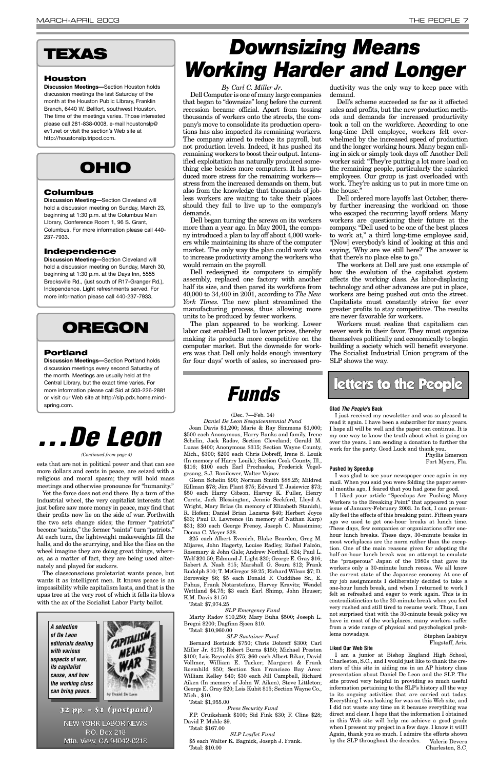*By Carl C. Miller Jr.*

Dell Computer is one of many large companies that began to "downsize" long before the current recession became official. Apart from tossing thousands of workers onto the streets, the company's move to consolidate its production operations has also impacted its remaining workers. The company aimed to reduce its payroll, but not production levels. Indeed, it has pushed its remaining workers to boost their output. Intensified exploitation has naturally produced something else besides more computers. It has produced more stress for the remaining workers stress from the increased demands on them, but also from the knowledge that thousands of jobless workers are waiting to take their places should they fail to live up to the company's demands.

Dell began turning the screws on its workers more than a year ago. In May 2001, the company introduced a plan to lay off about 4,000 workers while maintaining its share of the computer market. The only way the plan could work was to increase productivity among the workers who would remain on the payroll.

Dell redesigned its computers to simplify assembly, replaced one factory with another half its size, and then pared its workforce from 40,000 to 34,400 in 2001, according to *The New York Times.* The new plant streamlined the manufacturing process, thus allowing more units to be produced by fewer workers.

The plan appeared to be working. Lower labor cost enabled Dell to lower prices, thereby making its products more competitive on the computer market. But the downside for workers was that Dell only holds enough inventory for four days' worth of sales, so increased pro-

ductivity was the only way to keep pace with demand.

Dell's scheme succeeded as far as it affected sales and profits, but the new production methods and demands for increased productivity took a toll on the workforce. According to one long-time Dell employee, workers felt overwhelmed by the increased speed of production and the longer working hours. Many began calling in sick or simply took days off. Another Dell worker said: "They're putting a lot more load on the remaining people, particularly the salaried employees. Our group is just overloaded with work. They're asking us to put in more time on the house."

Dell ordered more layoffs last October, thereby further increasing the workload on those who escaped the recurring layoff orders. Many workers are questioning their future at the company. "Dell used to be one of the best places to work at," a third long-time employee said, "[Now] everybody's kind of looking at this and saying, 'Why are we still here?' The answer is that there's no place else to go."

The workers at Dell are just one example of how the evolution of the capitalist system affects the working class. As labor-displacing technology and other advances are put in place, workers are being pushed out onto the street. Capitalists must constantly strive for ever greater profits to stay competitive. The results are never favorable for workers.

Workers must realize that capitalism can never work in their favor. They must organize themselves politically and economically to begin building a society which will benefit everyone. The Socialist Industrial Union program of the SLP shows the way.

### (Dec. 7—Feb. 14)

*Daniel De Leon Sesquicentennial Fund* Joan Davis \$1,200; Marie & Ray Simmons \$1,000; \$500 each Anonymous, Harry Banks and family, Irene Schelin, Jack Radov, Section Cleveland; Gerald M. Lucas \$400; Anonymous \$315; Section Wayne County, Mich., \$300; \$200 each Chris Dobreff, Irene S. Louik (In memory of Harry Louik); Section Cook County, Ill., \$116; \$100 each Earl Prochaska, Frederick Vogelgesang, S.J. Banilower, Walter Vojnov.

Glenn Schelin \$90; Norman Smith \$88.25; Mildred Killman \$78; Jim Plant \$75; Edward T. Jasiewicz \$73; \$50 each Harry Gibson, Harvey K. Fuller, Henry Coretz, Jack Blessington, Jennie Seekford, Lloyd A. Wright, Mary Brlas (In memory of Elizabeth Stanich), R. Hofem; Daniel Brian Lazarus \$40; Herbert Joyce \$33; Paul D. Lawrence (In memory of Nathan Karp) \$31; \$30 each George Frenoy, Joseph C. Massimino; Donna C. Meyer \$28.

\$25 each Albert Evenich, Blake Bearden, Greg M. Mijares, John Hagerty, Louise Radley, Rafael Falcón, Rosemary & John Gale; Andrew Northall \$24; Paul L. Wolf \$20.50; Edmund J. Light \$20; George E. Gray \$16; Robert A. Nash \$15; Marshall G. Soura \$12; Frank Rudolph \$10; T. McGregor \$9.25; Richard Wilson \$7; D. Borowsky \$6; \$5 each Donald F. Cuddihee Sr., E. Pahus, Frank Notarstefano, Harvey Kravitz; Wendel Wettland \$4.75; \$3 each Earl Shimp, John Houser; K.M. Davis \$1.50

Total: \$7,974.25

*SLP Emergency Fund* Marty Radov \$10,250; Mary Buha \$500; Joseph L. Bregni \$200; Dagfinn Sjoen \$10. Total: \$10,960.00

#### *SLP Sustainer Fund*

Bernard Bortnick \$750; Chris Dobreff \$300; Carl Miller Jr. \$175; Robert Burns \$150; Michael Preston \$100; Lois Reynolds \$75; \$60 each Albert Bikar, David Vollmer, William E. Tucker; Margaret & Frank Roemhild \$50; Section San Francisco Bay Area: William Kelley \$40; \$30 each Jill Campbell, Richard Aiken (In memory of John W. Aiken), Steve Littleton; George E. Gray \$20; Lois Kubit \$15; Section Wayne Co., Mich., \$10.

Total: \$1,955.00

*Press Security Fund* F.P. Cruikshank \$100; Sid Fink \$30; F. Cline \$28; David P. Mohle \$9. Total: \$167.00

*SLP Leaflet Fund* \$5 each Walter K. Bagnick, Joseph J. Frank. Total: \$10.00



ests that are not in political power and that can see more dollars and cents in peace, are seized with a religious and moral spasm; they will hold mass meetings and otherwise pronounce for "humanity."

Yet the farce does not end there. By a turn of the industrial wheel, the very capitalist interests that just before saw more money in peace, may find that their profits now lie on the side of war. Forthwith the two sets change sides; the former "patriots" become "saints," the former "saints" turn "patriots." At each turn, the lightweight makeweights fill the halls, and do the scurrying, and like the flies on the wheel imagine they are doing great things, whereas, as a matter of fact, they are being used alter-

nately and played for suckers.

The classconscious proletariat wants peace, but wants it as intelligent men. It knows peace is an impossibility while capitalism lasts, and that is the upas tree at the very root of which it fells its blows with the ax of the Socialist Labor Party ballot.



#### **Houston**

**Discussion Meetings—**Section Houston holds discussion meetings the last Saturday of the month at the Houston Public LIbrary, Franklin Branch, 6440 W. Bellfort, southwest Houston. The time of the meetings varies. Those interested please call 281-838-0008, e-mail houstonslp@ ev1.net or visit the section's Web site at http://houstonslp.tripod.com.

### **OHIO**

#### **Columbus**

**Discussion Meeting—**Section Cleveland will hold a discussion meeting on Sunday, March 23, beginning at 1:30 p.m. at the Columbus Main LIbrary, Conference Room 1, 96 S. Grant, Columbus. For more information please call 440- 237-7933.

#### **Independence**

**Discussion Meeting—**Section Cleveland will hold a discussion meeting on Sunday, March 30, beginning at 1:30 p.m. at the Days Inn, 5555 Brecksville Rd., (just south of R17-Granger Rd.), Independence. Light refreshments served. For more information please call 440-237-7933.

### **OREGON**

#### **Portland**

**Discussion Meetings—**Section Portland holds discussion meetings every second Saturday of the month. Meetings are usually held at the Central Library, but the exact time varies. For more information please call Sid at 503-226-2881 or visit our Web site at http://slp.pdx.home.mindspring.com.

## *Downsizing Means Working Harder and Longer*

## *. . . De Leon*

#### *(Continued from page 4)*





#### **Glad** *The People***'s Back**

I just received my newsletter and was so pleased to read it again. I have been a subscriber for many years. I hope all will be well and the paper can continue. It is my one way to know the truth about what is going on over the years. I am sending a donation to further the work for the party. Good Luck and thank you.

Phyllis Emerson Fort Myers, Fla.

#### **Pushed by Speedup**

I was glad to see your newspaper once again in my mail. When you said you were folding the paper several months ago, I feared that you had gone for good.

I liked your article "Speedups Are Pushing Many Workers to the Breaking Point" that appeared in your issue of January-February 2003. In fact, I can personally feel the effects of this breaking point. Fifteen years ago we used to get one-hour breaks at lunch time. These days, few companies or organizations offer onehour lunch breaks. These days, 30-minute breaks in most workplaces are the norm rather than the exception. One of the main reasons given for adopting the half-an-hour lunch break was an attempt to emulate the "prosperous" Japan of the 1980s that gave its workers only a 30-minute lunch recess. We all know the current state of the Japanese economy. At one of my job assignments I deliberately decided to take a one-hour lunch break, and when I returned to work I felt so refreshed and eager to work again. This is in contradistinction to the 30-minute break when you feel very rushed and still tired to resume work. Thus, I am not surprised that with the 30-minute break policy we have in most of the workplaces, many workers suffer from a wide range of physical and psychological problems nowadays. Stephen Isabirye Flagstaff, Ariz. **Liked Our Web Site**

I am a junior at Bishop England High School, Charleston, S.C., and I would just like to thank the creators of this site in aiding me in an AP history class presentation about Daniel De Leon and the SLP. The site proved very helpful in providing so much useful information pertaining to the SLP's history all the way to its ongoing activities that are carried out today. Everything I was looking for was on this Web site, and I did not waste any time on it because everything was direct and clear. I hope that the information I obtained in this Web site will help me achieve a good grade when I present my project in a few days. I know it will!! Again, thank you so much. I admire the efforts shown by the SLP throughout the decades. Valerie Devera Charleston, S.C.